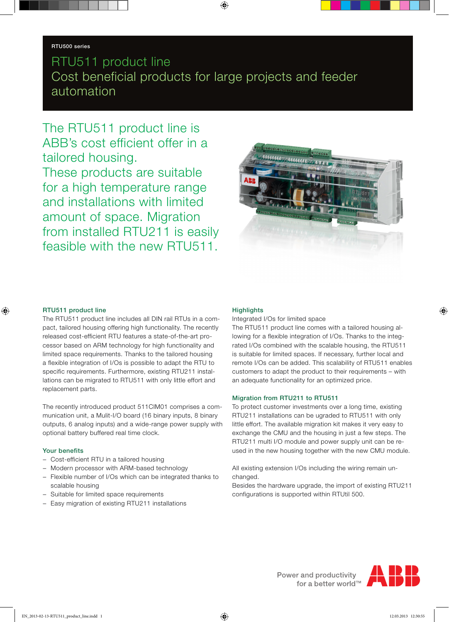# RTU511 product line Cost beneficial products for large projects and feeder automation

The RTU511 product line is ABB's cost efficient offer in a tailored housing. These products are suitable for a high temperature range and installations with limited amount of space. Migration from installed RTU211 is easily feasible with the new RTU511.



#### RTU511 product line

The RTU511 product line includes all DIN rail RTUs in a compact, tailored housing offering high functionality. The recently released cost-efficient RTU features a state-of-the-art processor based on ARM technology for high functionality and limited space requirements. Thanks to the tailored housing a flexible integration of I/Os is possible to adapt the RTU to specific requirements. Furthermore, existing RTU211 installations can be migrated to RTU511 with only little effort and replacement parts.

The recently introduced product 511CIM01 comprises a communication unit, a Mulit-I/O board (16 binary inputs, 8 binary outputs, 6 analog inputs) and a wide-range power supply with optional battery buffered real time clock.

## Your benefits

- − Cost-efficient RTU in a tailored housing
- − Modern processor with ARM-based technology
- − Flexible number of I/Os which can be integrated thanks to scalable housing
- − Suitable for limited space requirements
- Easy migration of existing RTU211 installations

#### **Highlights**

Integrated I/Os for limited space

The RTU511 product line comes with a tailored housing allowing for a flexible integration of I/Os. Thanks to the integrated I/Os combined with the scalable housing, the RTU511 is suitable for limited spaces. If necessary, further local and remote I/Os can be added. This scalability of RTU511 enables customers to adapt the product to their requirements – with an adequate functionality for an optimized price.

## Migration from RTU211 to RTU511

To protect customer investments over a long time, existing RTU211 installations can be ugraded to RTU511 with only little effort. The available migration kit makes it very easy to exchange the CMU and the housing in just a few steps. The RTU211 multi I/O module and power supply unit can be reused in the new housing together with the new CMU module.

All existing extension I/Os including the wiring remain unchanged.

Besides the hardware upgrade, the import of existing RTU211 configurations is supported within RTUtil 500.